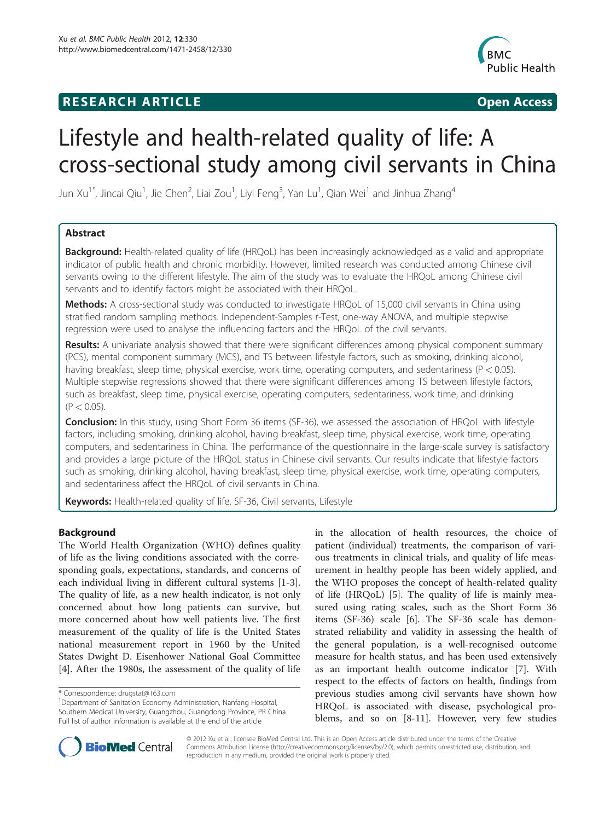## **RESEARCH ARTICLE Example 2014 CONSIDERING A RESEARCH ARTICLE**



# Lifestyle and health-related quality of life: A cross-sectional study among civil servants in China

Jun Xu<sup>1\*</sup>, Jincai Qiu<sup>1</sup>, Jie Chen<sup>2</sup>, Liai Zou<sup>1</sup>, Liyi Feng<sup>3</sup>, Yan Lu<sup>1</sup>, Qian Wei<sup>1</sup> and Jinhua Zhang<sup>4</sup>

## Abstract

**Background:** Health-related quality of life (HRQoL) has been increasingly acknowledged as a valid and appropriate indicator of public health and chronic morbidity. However, limited research was conducted among Chinese civil servants owing to the different lifestyle. The aim of the study was to evaluate the HRQoL among Chinese civil servants and to identify factors might be associated with their HRQoL.

Methods: A cross-sectional study was conducted to investigate HRQoL of 15,000 civil servants in China using stratified random sampling methods. Independent-Samples t-Test, one-way ANOVA, and multiple stepwise regression were used to analyse the influencing factors and the HRQoL of the civil servants.

Results: A univariate analysis showed that there were significant differences among physical component summary (PCS), mental component summary (MCS), and TS between lifestyle factors, such as smoking, drinking alcohol, having breakfast, sleep time, physical exercise, work time, operating computers, and sedentariness (P < 0.05). Multiple stepwise regressions showed that there were significant differences among TS between lifestyle factors, such as breakfast, sleep time, physical exercise, operating computers, sedentariness, work time, and drinking  $(P < 0.05)$ .

Conclusion: In this study, using Short Form 36 items (SF-36), we assessed the association of HRQoL with lifestyle factors, including smoking, drinking alcohol, having breakfast, sleep time, physical exercise, work time, operating computers, and sedentariness in China. The performance of the questionnaire in the large-scale survey is satisfactory and provides a large picture of the HRQoL status in Chinese civil servants. Our results indicate that lifestyle factors such as smoking, drinking alcohol, having breakfast, sleep time, physical exercise, work time, operating computers, and sedentariness affect the HRQoL of civil servants in China.

Keywords: Health-related quality of life, SF-36, Civil servants, Lifestyle

## Background

The World Health Organization (WHO) defines quality of life as the living conditions associated with the corresponding goals, expectations, standards, and concerns of each individual living in different cultural systems [[1-3](#page-8-0)]. The quality of life, as a new health indicator, is not only concerned about how long patients can survive, but more concerned about how well patients live. The first measurement of the quality of life is the United States national measurement report in 1960 by the United States Dwight D. Eisenhower National Goal Committee [[4\]](#page-8-0). After the 1980s, the assessment of the quality of life

in the allocation of health resources, the choice of patient (individual) treatments, the comparison of various treatments in clinical trials, and quality of life measurement in healthy people has been widely applied, and the WHO proposes the concept of health-related quality of life (HRQoL) [\[5](#page-8-0)]. The quality of life is mainly measured using rating scales, such as the Short Form 36 items (SF-36) scale [[6\]](#page-8-0). The SF-36 scale has demonstrated reliability and validity in assessing the health of the general population, is a well-recognised outcome measure for health status, and has been used extensively as an important health outcome indicator [\[7](#page-8-0)]. With respect to the effects of factors on health, findings from previous studies among civil servants have shown how HRQoL is associated with disease, psychological problems, and so on [\[8](#page-8-0)-[11\]](#page-8-0). However, very few studies



© 2012 Xu et al.; licensee BioMed Central Ltd. This is an Open Access article distributed under the terms of the Creative Commons Attribution License (http://creativecommons.org/licenses/by/2.0), which permits unrestricted use, distribution, and reproduction in any medium, provided the original work is properly cited.

<sup>\*</sup> Correspondence: [drugstat@163.com](mailto:drugstat@163.com) <sup>1</sup>

<sup>&</sup>lt;sup>1</sup>Department of Sanitation Economy Administration, Nanfang Hospital, Southern Medical University, Guangzhou, Guangdong Province, PR China Full list of author information is available at the end of the article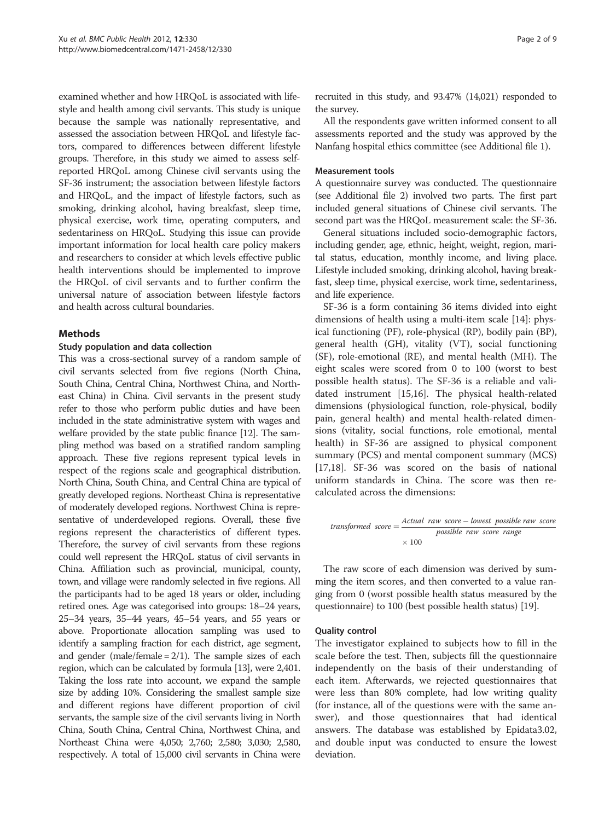examined whether and how HRQoL is associated with lifestyle and health among civil servants. This study is unique because the sample was nationally representative, and assessed the association between HRQoL and lifestyle factors, compared to differences between different lifestyle groups. Therefore, in this study we aimed to assess selfreported HRQoL among Chinese civil servants using the SF-36 instrument; the association between lifestyle factors and HRQoL, and the impact of lifestyle factors, such as smoking, drinking alcohol, having breakfast, sleep time, physical exercise, work time, operating computers, and sedentariness on HRQoL. Studying this issue can provide important information for local health care policy makers and researchers to consider at which levels effective public health interventions should be implemented to improve the HRQoL of civil servants and to further confirm the universal nature of association between lifestyle factors and health across cultural boundaries.

## Methods

#### Study population and data collection

This was a cross-sectional survey of a random sample of civil servants selected from five regions (North China, South China, Central China, Northwest China, and Northeast China) in China. Civil servants in the present study refer to those who perform public duties and have been included in the state administrative system with wages and welfare provided by the state public finance [\[12](#page-8-0)]. The sampling method was based on a stratified random sampling approach. These five regions represent typical levels in respect of the regions scale and geographical distribution. North China, South China, and Central China are typical of greatly developed regions. Northeast China is representative of moderately developed regions. Northwest China is representative of underdeveloped regions. Overall, these five regions represent the characteristics of different types. Therefore, the survey of civil servants from these regions could well represent the HRQoL status of civil servants in China. Affiliation such as provincial, municipal, county, town, and village were randomly selected in five regions. All the participants had to be aged 18 years or older, including retired ones. Age was categorised into groups: 18–24 years, 25–34 years, 35–44 years, 45–54 years, and 55 years or above. Proportionate allocation sampling was used to identify a sampling fraction for each district, age segment, and gender (male/female  $= 2/1$ ). The sample sizes of each region, which can be calculated by formula [[13](#page-8-0)], were 2,401. Taking the loss rate into account, we expand the sample size by adding 10%. Considering the smallest sample size and different regions have different proportion of civil servants, the sample size of the civil servants living in North China, South China, Central China, Northwest China, and Northeast China were 4,050; 2,760; 2,580; 3,030; 2,580, respectively. A total of 15,000 civil servants in China were

recruited in this study, and 93.47% (14,021) responded to the survey.

All the respondents gave written informed consent to all assessments reported and the study was approved by the Nanfang hospital ethics committee (see [Additional file 1](#page-7-0)).

#### Measurement tools

A questionnaire survey was conducted. The questionnaire (see [Additional file 2\)](#page-7-0) involved two parts. The first part included general situations of Chinese civil servants. The second part was the HRQoL measurement scale: the SF-36.

General situations included socio-demographic factors, including gender, age, ethnic, height, weight, region, marital status, education, monthly income, and living place. Lifestyle included smoking, drinking alcohol, having breakfast, sleep time, physical exercise, work time, sedentariness, and life experience.

SF-36 is a form containing 36 items divided into eight dimensions of health using a multi-item scale [\[14\]](#page-8-0): physical functioning (PF), role-physical (RP), bodily pain (BP), general health (GH), vitality (VT), social functioning (SF), role-emotional (RE), and mental health (MH). The eight scales were scored from 0 to 100 (worst to best possible health status). The SF-36 is a reliable and validated instrument [[15,16](#page-8-0)]. The physical health-related dimensions (physiological function, role-physical, bodily pain, general health) and mental health-related dimensions (vitality, social functions, role emotional, mental health) in SF-36 are assigned to physical component summary (PCS) and mental component summary (MCS) [[17,18\]](#page-8-0). SF-36 was scored on the basis of national uniform standards in China. The score was then recalculated across the dimensions:

transformed score = 
$$
\frac{Actual\ raw\ score - lowest\ possible\ raw\ score}{possible\ raw\ score\ range}
$$

The raw score of each dimension was derived by summing the item scores, and then converted to a value ranging from 0 (worst possible health status measured by the questionnaire) to 100 (best possible health status) [\[19](#page-8-0)].

## Quality control

The investigator explained to subjects how to fill in the scale before the test. Then, subjects fill the questionnaire independently on the basis of their understanding of each item. Afterwards, we rejected questionnaires that were less than 80% complete, had low writing quality (for instance, all of the questions were with the same answer), and those questionnaires that had identical answers. The database was established by Epidata3.02, and double input was conducted to ensure the lowest deviation.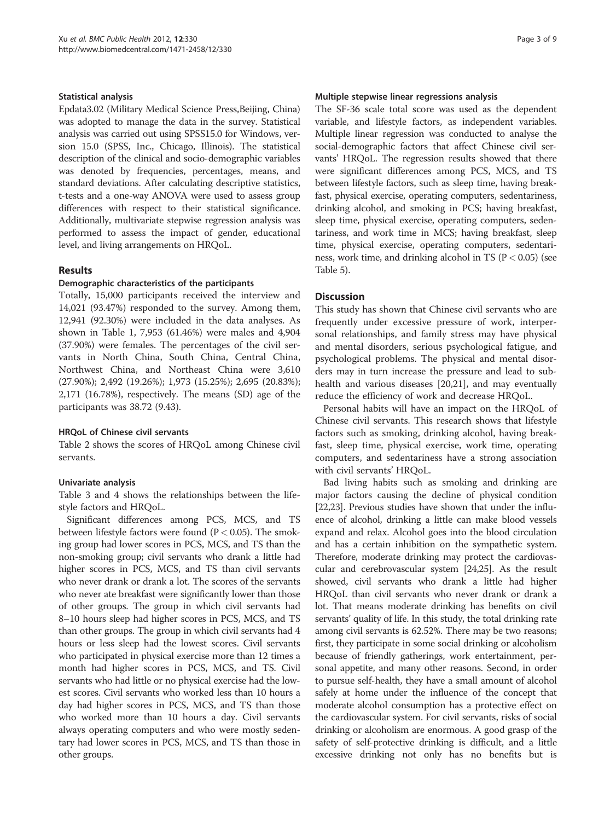#### Statistical analysis

Epdata3.02 (Military Medical Science Press,Beijing, China) was adopted to manage the data in the survey. Statistical analysis was carried out using SPSS15.0 for Windows, version 15.0 (SPSS, Inc., Chicago, Illinois). The statistical description of the clinical and socio-demographic variables was denoted by frequencies, percentages, means, and standard deviations. After calculating descriptive statistics, t-tests and a one-way ANOVA were used to assess group differences with respect to their statistical significance. Additionally, multivariate stepwise regression analysis was performed to assess the impact of gender, educational level, and living arrangements on HRQoL.

## Results

#### Demographic characteristics of the participants

Totally, 15,000 participants received the interview and 14,021 (93.47%) responded to the survey. Among them, 12,941 (92.30%) were included in the data analyses. As shown in Table [1,](#page-3-0) 7,953 (61.46%) were males and 4,904 (37.90%) were females. The percentages of the civil servants in North China, South China, Central China, Northwest China, and Northeast China were 3,610 (27.90%); 2,492 (19.26%); 1,973 (15.25%); 2,695 (20.83%); 2,171 (16.78%), respectively. The means (SD) age of the participants was 38.72 (9.43).

#### HRQoL of Chinese civil servants

Table [2](#page-4-0) shows the scores of HRQoL among Chinese civil servants.

## Univariate analysis

Table [3](#page-5-0) and [4](#page-6-0) shows the relationships between the lifestyle factors and HRQoL.

Significant differences among PCS, MCS, and TS between lifestyle factors were found ( $P < 0.05$ ). The smoking group had lower scores in PCS, MCS, and TS than the non-smoking group; civil servants who drank a little had higher scores in PCS, MCS, and TS than civil servants who never drank or drank a lot. The scores of the servants who never ate breakfast were significantly lower than those of other groups. The group in which civil servants had 8–10 hours sleep had higher scores in PCS, MCS, and TS than other groups. The group in which civil servants had 4 hours or less sleep had the lowest scores. Civil servants who participated in physical exercise more than 12 times a month had higher scores in PCS, MCS, and TS. Civil servants who had little or no physical exercise had the lowest scores. Civil servants who worked less than 10 hours a day had higher scores in PCS, MCS, and TS than those who worked more than 10 hours a day. Civil servants always operating computers and who were mostly sedentary had lower scores in PCS, MCS, and TS than those in other groups.

#### Multiple stepwise linear regressions analysis

The SF-36 scale total score was used as the dependent variable, and lifestyle factors, as independent variables. Multiple linear regression was conducted to analyse the social-demographic factors that affect Chinese civil servants' HRQoL. The regression results showed that there were significant differences among PCS, MCS, and TS between lifestyle factors, such as sleep time, having breakfast, physical exercise, operating computers, sedentariness, drinking alcohol, and smoking in PCS; having breakfast, sleep time, physical exercise, operating computers, sedentariness, and work time in MCS; having breakfast, sleep time, physical exercise, operating computers, sedentariness, work time, and drinking alcohol in TS ( $P < 0.05$ ) (see Table [5\)](#page-7-0).

## **Discussion**

This study has shown that Chinese civil servants who are frequently under excessive pressure of work, interpersonal relationships, and family stress may have physical and mental disorders, serious psychological fatigue, and psychological problems. The physical and mental disorders may in turn increase the pressure and lead to subhealth and various diseases [\[20,21\]](#page-8-0), and may eventually reduce the efficiency of work and decrease HRQoL.

Personal habits will have an impact on the HRQoL of Chinese civil servants. This research shows that lifestyle factors such as smoking, drinking alcohol, having breakfast, sleep time, physical exercise, work time, operating computers, and sedentariness have a strong association with civil servants' HRQoL.

Bad living habits such as smoking and drinking are major factors causing the decline of physical condition [[22,23\]](#page-8-0). Previous studies have shown that under the influence of alcohol, drinking a little can make blood vessels expand and relax. Alcohol goes into the blood circulation and has a certain inhibition on the sympathetic system. Therefore, moderate drinking may protect the cardiovascular and cerebrovascular system [[24,25\]](#page-8-0). As the result showed, civil servants who drank a little had higher HRQoL than civil servants who never drank or drank a lot. That means moderate drinking has benefits on civil servants' quality of life. In this study, the total drinking rate among civil servants is 62.52%. There may be two reasons; first, they participate in some social drinking or alcoholism because of friendly gatherings, work entertainment, personal appetite, and many other reasons. Second, in order to pursue self-health, they have a small amount of alcohol safely at home under the influence of the concept that moderate alcohol consumption has a protective effect on the cardiovascular system. For civil servants, risks of social drinking or alcoholism are enormous. A good grasp of the safety of self-protective drinking is difficult, and a little excessive drinking not only has no benefits but is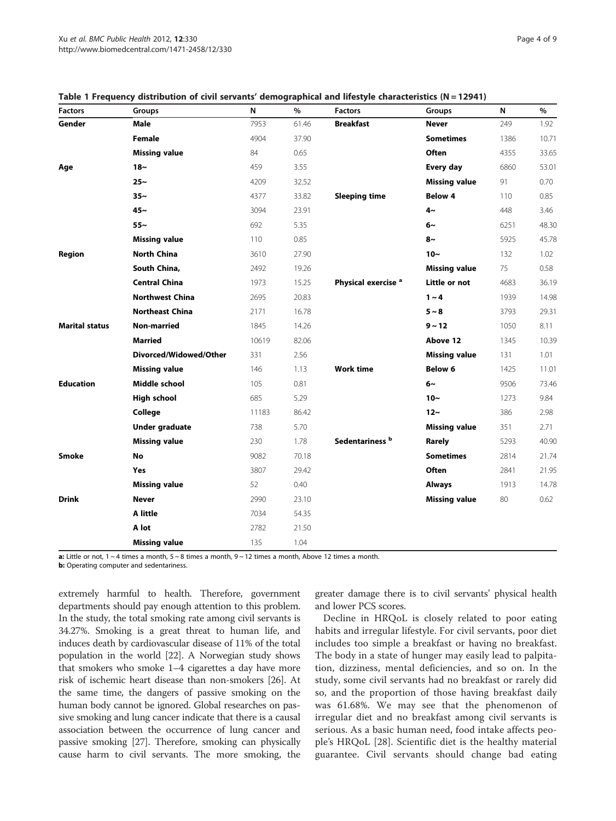|                       | $55-$                  | 692   | 5.35  |                                | $6 -$                | 6251 | 48.30 |
|-----------------------|------------------------|-------|-------|--------------------------------|----------------------|------|-------|
|                       | <b>Missing value</b>   | 110   | 0.85  |                                | $8 -$                | 5925 | 45.78 |
| Region                | <b>North China</b>     | 3610  | 27.90 |                                | $10-$                | 132  | 1.02  |
|                       | South China,           | 2492  | 19.26 |                                | <b>Missing value</b> | 75   | 0.58  |
|                       | <b>Central China</b>   | 1973  | 15.25 | Physical exercise <sup>a</sup> | Little or not        | 4683 | 36.19 |
|                       | <b>Northwest China</b> | 2695  | 20.83 |                                | $1 - 4$              | 1939 | 14.98 |
|                       | <b>Northeast China</b> | 2171  | 16.78 |                                | $5 \sim 8$           | 3793 | 29.31 |
| <b>Marital status</b> | <b>Non-married</b>     | 1845  | 14.26 |                                | $9 - 12$             | 1050 | 8.11  |
|                       | <b>Married</b>         | 10619 | 82.06 |                                | Above 12             | 1345 | 10.39 |
|                       | Divorced/Widowed/Other | 331   | 2.56  |                                | <b>Missing value</b> | 131  | 1.01  |
|                       | <b>Missing value</b>   | 146   | 1.13  | <b>Work time</b>               | Below 6              | 1425 | 11.01 |
| <b>Education</b>      | Middle school          | 105   | 0.81  |                                | $6 -$                | 9506 | 73.46 |
|                       | <b>High school</b>     | 685   | 5.29  |                                | $10-$                | 1273 | 9.84  |
|                       | College                | 11183 | 86.42 |                                | $12-$                | 386  | 2.98  |
|                       | <b>Under graduate</b>  | 738   | 5.70  |                                | <b>Missing value</b> | 351  | 2.71  |
|                       | <b>Missing value</b>   | 230   | 1.78  | Sedentariness <sup>b</sup>     | Rarely               | 5293 | 40.90 |
| Smoke                 | No                     | 9082  | 70.18 |                                | <b>Sometimes</b>     | 2814 | 21.74 |
|                       | Yes                    | 3807  | 29.42 |                                | <b>Often</b>         | 2841 | 21.95 |
|                       | <b>Missing value</b>   | 52    | 0.40  |                                | <b>Always</b>        | 1913 | 14.78 |
| <b>Drink</b>          | <b>Never</b>           | 2990  | 23.10 |                                | <b>Missing value</b> | 80   | 0.62  |
|                       | A little               | 7034  | 54.35 |                                |                      |      |       |
|                       | A lot                  | 2782  | 21.50 |                                |                      |      |       |
|                       | <b>Missing value</b>   | 135   | 1.04  |                                |                      |      |       |

## <span id="page-3-0"></span>Table 1 Frequency distribution of civil servants' demographical and lifestyle characteristics (N = 12941)

Factors Groups N % Factors Groups N % **Gender Male 1.92 Male** 7953 61.46 **Breakfast Never** 249 1.92

**Age 18~ 18 according to the 459 and 3.55 control to the Every day** 6860 53.01 **Age 18** 

**Female** 1386 10.71 4904 37.90 **Sometimes** 1386 10.71 **Missing value 84** 0.65 **Often** 4355 33.65

**25~ 4209 32.52 Missing value** 91 **0.70 35~ 4377 33.82 <b>Sleeping time Below 4** 110 0.85 45~ 3094 23.91 **4~ 4** 448 3.46

a: Little or not,  $1 \sim 4$  times a month,  $5 \sim 8$  times a month,  $9 \sim 12$  times a month, Above 12 times a month.

b: Operating computer and sedentariness.

extremely harmful to health. Therefore, government departments should pay enough attention to this problem. In the study, the total smoking rate among civil servants is 34.27%. Smoking is a great threat to human life, and induces death by cardiovascular disease of 11% of the total population in the world [[22](#page-8-0)]. A Norwegian study shows that smokers who smoke 1–4 cigarettes a day have more risk of ischemic heart disease than non-smokers [\[26\]](#page-8-0). At the same time, the dangers of passive smoking on the human body cannot be ignored. Global researches on passive smoking and lung cancer indicate that there is a causal association between the occurrence of lung cancer and passive smoking [\[27](#page-8-0)]. Therefore, smoking can physically cause harm to civil servants. The more smoking, the

greater damage there is to civil servants' physical health and lower PCS scores.

Decline in HRQoL is closely related to poor eating habits and irregular lifestyle. For civil servants, poor diet includes too simple a breakfast or having no breakfast. The body in a state of hunger may easily lead to palpitation, dizziness, mental deficiencies, and so on. In the study, some civil servants had no breakfast or rarely did so, and the proportion of those having breakfast daily was 61.68%. We may see that the phenomenon of irregular diet and no breakfast among civil servants is serious. As a basic human need, food intake affects people's HRQoL [[28\]](#page-8-0). Scientific diet is the healthy material guarantee. Civil servants should change bad eating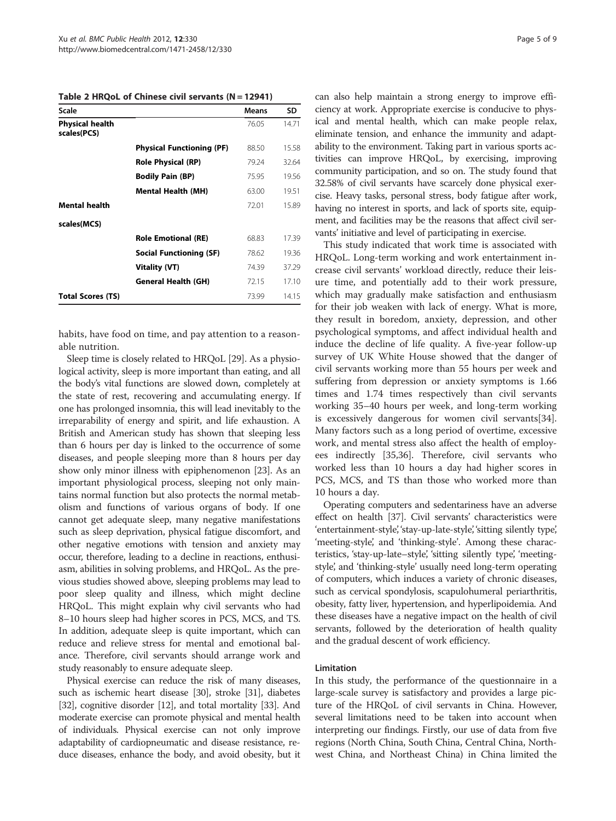<span id="page-4-0"></span>Table 2 HRQoL of Chinese civil servants (N = 12941)

| Scale                          |                                  | Means | SD    |
|--------------------------------|----------------------------------|-------|-------|
| Physical health<br>scales(PCS) |                                  | 76.05 | 14.71 |
|                                | <b>Physical Functioning (PF)</b> | 88.50 | 15.58 |
|                                | <b>Role Physical (RP)</b>        | 79.24 | 32.64 |
|                                | <b>Bodily Pain (BP)</b>          | 75.95 | 19.56 |
|                                | <b>Mental Health (MH)</b>        | 63.00 | 19.51 |
| <b>Mental health</b>           |                                  | 72.01 | 15.89 |
| scales(MCS)                    |                                  |       |       |
|                                | <b>Role Emotional (RE)</b>       | 68.83 | 17.39 |
|                                | <b>Social Functioning (SF)</b>   | 78.62 | 19.36 |
|                                | Vitality (VT)                    | 74.39 | 37.29 |
|                                | <b>General Health (GH)</b>       | 72.15 | 17.10 |
| <b>Total Scores (TS)</b>       |                                  | 73.99 | 14.15 |

habits, have food on time, and pay attention to a reasonable nutrition.

Sleep time is closely related to HRQoL [[29](#page-8-0)]. As a physiological activity, sleep is more important than eating, and all the body's vital functions are slowed down, completely at the state of rest, recovering and accumulating energy. If one has prolonged insomnia, this will lead inevitably to the irreparability of energy and spirit, and life exhaustion. A British and American study has shown that sleeping less than 6 hours per day is linked to the occurrence of some diseases, and people sleeping more than 8 hours per day show only minor illness with epiphenomenon [[23](#page-8-0)]. As an important physiological process, sleeping not only maintains normal function but also protects the normal metabolism and functions of various organs of body. If one cannot get adequate sleep, many negative manifestations such as sleep deprivation, physical fatigue discomfort, and other negative emotions with tension and anxiety may occur, therefore, leading to a decline in reactions, enthusiasm, abilities in solving problems, and HRQoL. As the previous studies showed above, sleeping problems may lead to poor sleep quality and illness, which might decline HRQoL. This might explain why civil servants who had 8–10 hours sleep had higher scores in PCS, MCS, and TS. In addition, adequate sleep is quite important, which can reduce and relieve stress for mental and emotional balance. Therefore, civil servants should arrange work and study reasonably to ensure adequate sleep.

Physical exercise can reduce the risk of many diseases, such as ischemic heart disease [[30](#page-8-0)], stroke [[31](#page-8-0)], diabetes [[32](#page-8-0)], cognitive disorder [[12](#page-8-0)], and total mortality [\[33\]](#page-8-0). And moderate exercise can promote physical and mental health of individuals. Physical exercise can not only improve adaptability of cardiopneumatic and disease resistance, reduce diseases, enhance the body, and avoid obesity, but it can also help maintain a strong energy to improve efficiency at work. Appropriate exercise is conducive to physical and mental health, which can make people relax, eliminate tension, and enhance the immunity and adaptability to the environment. Taking part in various sports activities can improve HRQoL, by exercising, improving community participation, and so on. The study found that 32.58% of civil servants have scarcely done physical exercise. Heavy tasks, personal stress, body fatigue after work, having no interest in sports, and lack of sports site, equipment, and facilities may be the reasons that affect civil servants' initiative and level of participating in exercise.

This study indicated that work time is associated with HRQoL. Long-term working and work entertainment increase civil servants' workload directly, reduce their leisure time, and potentially add to their work pressure, which may gradually make satisfaction and enthusiasm for their job weaken with lack of energy. What is more, they result in boredom, anxiety, depression, and other psychological symptoms, and affect individual health and induce the decline of life quality. A five-year follow-up survey of UK White House showed that the danger of civil servants working more than 55 hours per week and suffering from depression or anxiety symptoms is 1.66 times and 1.74 times respectively than civil servants working 35–40 hours per week, and long-term working is excessively dangerous for women civil servants[[34](#page-8-0)]. Many factors such as a long period of overtime, excessive work, and mental stress also affect the health of employees indirectly [\[35,36\]](#page-8-0). Therefore, civil servants who worked less than 10 hours a day had higher scores in PCS, MCS, and TS than those who worked more than 10 hours a day.

Operating computers and sedentariness have an adverse effect on health [\[37\]](#page-8-0). Civil servants' characteristics were 'entertainment-style', 'stay-up-late-style', 'sitting silently type', 'meeting-style', and 'thinking-style'. Among these characteristics, 'stay-up-late–style', 'sitting silently type', 'meetingstyle', and 'thinking-style' usually need long-term operating of computers, which induces a variety of chronic diseases, such as cervical spondylosis, scapulohumeral periarthritis, obesity, fatty liver, hypertension, and hyperlipoidemia. And these diseases have a negative impact on the health of civil servants, followed by the deterioration of health quality and the gradual descent of work efficiency.

## Limitation

In this study, the performance of the questionnaire in a large-scale survey is satisfactory and provides a large picture of the HRQoL of civil servants in China. However, several limitations need to be taken into account when interpreting our findings. Firstly, our use of data from five regions (North China, South China, Central China, Northwest China, and Northeast China) in China limited the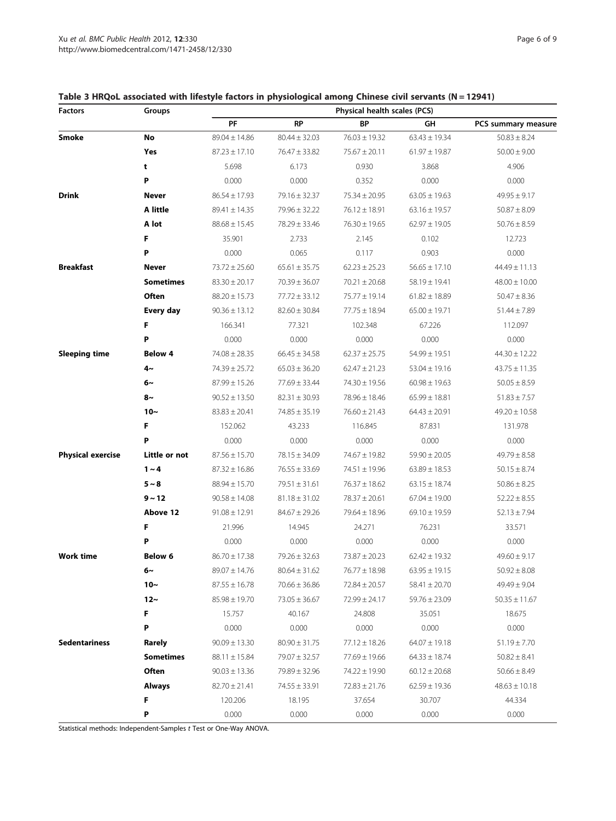| <b>Factors</b>           | Groups           | Physical health scales (PCS) |                   |                   |                   |                     |  |  |  |
|--------------------------|------------------|------------------------------|-------------------|-------------------|-------------------|---------------------|--|--|--|
|                          |                  | PF                           | <b>RP</b>         | <b>BP</b>         | GH                | PCS summary measure |  |  |  |
| Smoke                    | No               | $89.04 \pm 14.86$            | $80.44 \pm 32.03$ | $76.03 \pm 19.32$ | $63.43 \pm 19.34$ | $50.83 \pm 8.24$    |  |  |  |
|                          | Yes              | $87.23 \pm 17.10$            | $76.47 \pm 33.82$ | $75.67 \pm 20.11$ | $61.97 \pm 19.87$ | $50.00 \pm 9.00$    |  |  |  |
|                          | t                | 5.698                        | 6.173             | 0.930             | 3.868             | 4.906               |  |  |  |
|                          | P                | 0.000                        | 0.000             | 0.352             | 0.000             | 0.000               |  |  |  |
| Drink                    | <b>Never</b>     | $86.54 \pm 17.93$            | $79.16 \pm 32.37$ | $75.34 \pm 20.95$ | $63.05 \pm 19.63$ | $49.95 \pm 9.17$    |  |  |  |
|                          | A little         | $89.41 \pm 14.35$            | $79.96 \pm 32.22$ | $76.12 \pm 18.91$ | $63.16 \pm 19.57$ | $50.87 \pm 8.09$    |  |  |  |
|                          | A lot            | $88.68 \pm 15.45$            | $78.29 \pm 33.46$ | $76.30 \pm 19.65$ | $62.97 \pm 19.05$ | $50.76 \pm 8.59$    |  |  |  |
|                          | F                | 35.901                       | 2.733             | 2.145             | 0.102             | 12.723              |  |  |  |
|                          | P                | 0.000                        | 0.065             | 0.117             | 0.903             | 0.000               |  |  |  |
| <b>Breakfast</b>         | Never            | $73.72 \pm 25.60$            | $65.61 \pm 35.75$ | $62.23 \pm 25.23$ | $56.65 \pm 17.10$ | $44.49 \pm 11.13$   |  |  |  |
|                          | <b>Sometimes</b> | $83.30 \pm 20.17$            | $70.39 \pm 36.07$ | $70.21 \pm 20.68$ | 58.19 ± 19.41     | $48.00 \pm 10.00$   |  |  |  |
|                          | <b>Often</b>     | $88.20 \pm 15.73$            | $77.72 \pm 33.12$ | 75.77 ± 19.14     | $61.82 \pm 18.89$ | $50.47 \pm 8.36$    |  |  |  |
|                          | Every day        | $90.36 \pm 13.12$            | $82.60 \pm 30.84$ | $77.75 \pm 18.94$ | $65.00 \pm 19.71$ | $51.44 \pm 7.89$    |  |  |  |
|                          | F                | 166.341                      | 77.321            | 102.348           | 67.226            | 112.097             |  |  |  |
|                          | P                | 0.000                        | 0.000             | 0.000             | 0.000             | 0.000               |  |  |  |
| Sleeping time            | <b>Below 4</b>   | $74.08 \pm 28.35$            | $66.45 \pm 34.58$ | $62.37 \pm 25.75$ | 54.99 ± 19.51     | $44.30 \pm 12.22$   |  |  |  |
|                          | $4 -$            | 74.39 ± 25.72                | $65.03 \pm 36.20$ | $62.47 \pm 21.23$ | $53.04 \pm 19.16$ | $43.75 \pm 11.35$   |  |  |  |
|                          | 6~               | $87.99 \pm 15.26$            | $77.69 \pm 33.44$ | 74.30 ± 19.56     | $60.98 \pm 19.63$ | $50.05 \pm 8.59$    |  |  |  |
|                          | $8-$             | $90.52 \pm 13.50$            | $82.31 \pm 30.93$ | $78.96 \pm 18.46$ | $65.99 \pm 18.81$ | $51.83 \pm 7.57$    |  |  |  |
|                          | $10-$            | $83.83 \pm 20.41$            | $74.85 \pm 35.19$ | $76.60 \pm 21.43$ | $64.43 \pm 20.91$ | $49.20 \pm 10.58$   |  |  |  |
|                          | F                | 152.062                      | 43.233            | 116.845           | 87.831            | 131.978             |  |  |  |
|                          | P                | 0.000                        | 0.000             | 0.000             | 0.000             | 0.000               |  |  |  |
| <b>Physical exercise</b> | Little or not    | $87.56 \pm 15.70$            | $78.15 \pm 34.09$ | 74.67 ± 19.82     | $59.90 \pm 20.05$ | $49.79 \pm 8.58$    |  |  |  |
|                          | $1 - 4$          | $87.32 \pm 16.86$            | $76.55 \pm 33.69$ | 74.51 ± 19.96     | $63.89 \pm 18.53$ | $50.15 \pm 8.74$    |  |  |  |
|                          | $5 \sim 8$       | $88.94 \pm 15.70$            | $79.51 \pm 31.61$ | $76.37 \pm 18.62$ | $63.15 \pm 18.74$ | $50.86 \pm 8.25$    |  |  |  |
|                          | $9 - 12$         | $90.58 \pm 14.08$            | $81.18 \pm 31.02$ | $78.37 \pm 20.61$ | $67.04 \pm 19.00$ | $52.22 \pm 8.55$    |  |  |  |
|                          | Above 12         | $91.08 \pm 12.91$            | $84.67 \pm 29.26$ | $79.64 \pm 18.96$ | 69.10 ± 19.59     | $52.13 \pm 7.94$    |  |  |  |
|                          | F                | 21.996                       | 14.945            | 24.271            | 76.231            | 33.571              |  |  |  |
|                          | P                | 0.000                        | 0.000             | 0.000             | 0.000             | 0.000               |  |  |  |
| <b>Work time</b>         | <b>Below 6</b>   | $86.70 \pm 17.38$            | $79.26 \pm 32.63$ | $73.87 \pm 20.23$ | $62.42 \pm 19.32$ | $49.60 \pm 9.17$    |  |  |  |
|                          | 6~               | $89.07 \pm 14.76$            | $80.64 \pm 31.62$ | $76.77 \pm 18.98$ | $63.95 \pm 19.15$ | $50.92 \pm 8.08$    |  |  |  |
|                          | $10-$            | $87.55 \pm 16.78$            | $70.66 \pm 36.86$ | $72.84 \pm 20.57$ | $58.41 \pm 20.70$ | $49.49 \pm 9.04$    |  |  |  |
|                          | $12-$            | $85.98 \pm 19.70$            | $73.05 \pm 36.67$ | $72.99 \pm 24.17$ | $59.76 \pm 23.09$ | $50.35 \pm 11.67$   |  |  |  |
|                          | F                | 15.757                       | 40.167            | 24.808            | 35.051            | 18.675              |  |  |  |
|                          | P                | 0.000                        | 0.000             | 0.000             | 0.000             | 0.000               |  |  |  |
| <b>Sedentariness</b>     | Rarely           | $90.09 \pm 13.30$            | $80.90 \pm 31.75$ | $77.12 \pm 18.26$ | $64.07 \pm 19.18$ | $51.19 \pm 7.70$    |  |  |  |
|                          | <b>Sometimes</b> | $88.11 \pm 15.84$            | $79.07 \pm 32.57$ | $77.69 \pm 19.66$ | $64.33 \pm 18.74$ | $50.82 \pm 8.41$    |  |  |  |
|                          | <b>Often</b>     | $90.03 \pm 13.36$            | $79.89 \pm 32.96$ | 74.22 ± 19.90     | $60.12 \pm 20.68$ | $50.66 \pm 8.49$    |  |  |  |
|                          | <b>Always</b>    | $82.70 \pm 21.41$            | $74.55 \pm 33.91$ | $72.83 \pm 21.76$ | $62.59 \pm 19.36$ | $48.63 \pm 10.18$   |  |  |  |
|                          | F                | 120.206                      | 18.195            | 37.654            | 30.707            | 44.334              |  |  |  |
|                          | P                | 0.000                        | 0.000             | 0.000             | 0.000             | 0.000               |  |  |  |

## <span id="page-5-0"></span>Table 3 HRQoL associated with lifestyle factors in physiological among Chinese civil servants (N = 12941)

Statistical methods: Independent-Samples t Test or One-Way ANOVA.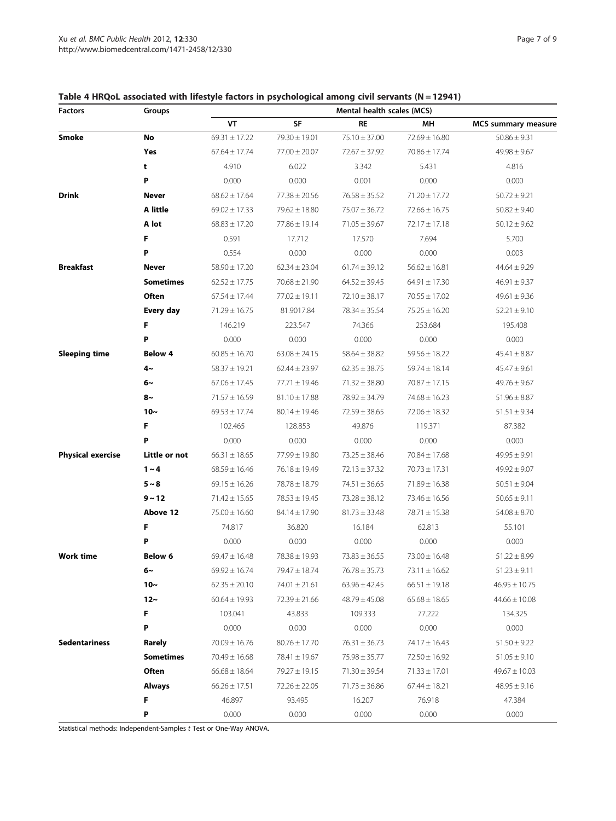| <b>Factors</b>           | Groups           | Mental health scales (MCS) |                   |                   |                   |                            |  |  |  |
|--------------------------|------------------|----------------------------|-------------------|-------------------|-------------------|----------------------------|--|--|--|
|                          |                  | VT                         | SF                | <b>RE</b>         | MН                | <b>MCS summary measure</b> |  |  |  |
| <b>Smoke</b>             | No               | $69.31 \pm 17.22$          | 79.30 ± 19.01     | $75.10 \pm 37.00$ | $72.69 \pm 16.80$ | $50.86 \pm 9.31$           |  |  |  |
|                          | Yes              | $67.64 \pm 17.74$          | $77.00 \pm 20.07$ | $72.67 \pm 37.92$ | $70.86 \pm 17.74$ | $49.98 \pm 9.67$           |  |  |  |
|                          | t                | 4.910                      | 6.022             | 3.342             | 5.431             | 4.816                      |  |  |  |
|                          | P                | 0.000                      | 0.000             | 0.001             | 0.000             | 0.000                      |  |  |  |
| Drink                    | <b>Never</b>     | $68.62 \pm 17.64$          | $77.38 \pm 20.56$ | $76.58 \pm 35.52$ | $71.20 \pm 17.72$ | $50.72 \pm 9.21$           |  |  |  |
|                          | A little         | $69.02 \pm 17.33$          | $79.62 \pm 18.80$ | $75.07 \pm 36.72$ | $72.66 \pm 16.75$ | $50.82 \pm 9.40$           |  |  |  |
|                          | A lot            | $68.83 \pm 17.20$          | $77.86 \pm 19.14$ | $71.05 \pm 39.67$ | $72.17 \pm 17.18$ | $50.12 \pm 9.62$           |  |  |  |
|                          | F                | 0.591                      | 17.712            | 17.570            | 7.694             | 5.700                      |  |  |  |
|                          | P                | 0.554                      | 0.000             | 0.000             | 0.000             | 0.003                      |  |  |  |
| <b>Breakfast</b>         | <b>Never</b>     | $58.90 \pm 17.20$          | $62.34 \pm 23.04$ | $61.74 \pm 39.12$ | $56.62 \pm 16.81$ | $44.64 \pm 9.29$           |  |  |  |
|                          | <b>Sometimes</b> | $62.52 \pm 17.75$          | $70.68 \pm 21.90$ | $64.52 \pm 39.45$ | $64.91 \pm 17.30$ | $46.91 \pm 9.37$           |  |  |  |
|                          | <b>Often</b>     | $67.54 \pm 17.44$          | $77.02 \pm 19.11$ | $72.10 \pm 38.17$ | $70.55 \pm 17.02$ | $49.61 \pm 9.36$           |  |  |  |
|                          | Every day        | $71.29 \pm 16.75$          | 81.9017.84        | $78.34 \pm 35.54$ | $75.25 \pm 16.20$ | $52.21 \pm 9.10$           |  |  |  |
|                          | F                | 146.219                    | 223.547           | 74.366            | 253.684           | 195.408                    |  |  |  |
|                          | P                | 0.000                      | 0.000             | 0.000             | 0.000             | 0.000                      |  |  |  |
| <b>Sleeping time</b>     | <b>Below 4</b>   | $60.85 \pm 16.70$          | $63.08 \pm 24.15$ | $58.64 \pm 38.82$ | $59.56 \pm 18.22$ | $45.41 \pm 8.87$           |  |  |  |
|                          | $4 -$            | $58.37 \pm 19.21$          | $62.44 \pm 23.97$ | $62.35 \pm 38.75$ | $59.74 \pm 18.14$ | $45.47 \pm 9.61$           |  |  |  |
|                          | 6~               | $67.06 \pm 17.45$          | 77.71 ± 19.46     | $71.32 \pm 38.80$ | $70.87 \pm 17.15$ | $49.76 \pm 9.67$           |  |  |  |
|                          | 8~               | $71.57 \pm 16.59$          | $81.10 \pm 17.88$ | 78.92 ± 34.79     | $74.68 \pm 16.23$ | $51.96 \pm 8.87$           |  |  |  |
|                          | $10-$            | $69.53 \pm 17.74$          | $80.14 \pm 19.46$ | $72.59 \pm 38.65$ | $72.06 \pm 18.32$ | $51.51 \pm 9.34$           |  |  |  |
|                          | F                | 102.465                    | 128.853           | 49.876            | 119.371           | 87.382                     |  |  |  |
|                          | P                | 0.000                      | 0.000             | 0.000             | 0.000             | 0.000                      |  |  |  |
| <b>Physical exercise</b> | Little or not    | $66.31 \pm 18.65$          | 77.99 ± 19.80     | $73.25 \pm 38.46$ | $70.84 \pm 17.68$ | $49.95 \pm 9.91$           |  |  |  |
|                          | $1 - 4$          | $68.59 \pm 16.46$          | $76.18 \pm 19.49$ | $72.13 \pm 37.32$ | $70.73 \pm 17.31$ | $49.92 \pm 9.07$           |  |  |  |
|                          | $5 - 8$          | $69.15 \pm 16.26$          | $78.78 \pm 18.79$ | $74.51 \pm 36.65$ | $71.89 \pm 16.38$ | $50.51 \pm 9.04$           |  |  |  |
|                          | $9 - 12$         | $71.42 \pm 15.65$          | $78.53 \pm 19.45$ | $73.28 \pm 38.12$ | $73.46 \pm 16.56$ | $50.65 \pm 9.11$           |  |  |  |
|                          | Above 12         | $75.00 \pm 16.60$          | $84.14 \pm 17.90$ | $81.73 \pm 33.48$ | $78.71 \pm 15.38$ | $54.08 \pm 8.70$           |  |  |  |
|                          | F                | 74.817                     | 36.820            | 16.184            | 62.813            | 55.101                     |  |  |  |
|                          | P                | 0.000                      | 0.000             | 0.000             | 0.000             | 0.000                      |  |  |  |
| <b>Work time</b>         | <b>Below 6</b>   | $69.47 \pm 16.48$          | $78.38 \pm 19.93$ | $73.83 \pm 36.55$ | $73.00 \pm 16.48$ | $51.22 \pm 8.99$           |  |  |  |
|                          | 6~               | $69.92 \pm 16.74$          | 79.47 ± 18.74     | $76.78 \pm 35.73$ | $73.11 \pm 16.62$ | $51.23 \pm 9.11$           |  |  |  |
|                          | $10-$            | $62.35 \pm 20.10$          | $74.01 \pm 21.61$ | $63.96 \pm 42.45$ | $66.51 \pm 19.18$ | $46.95 \pm 10.75$          |  |  |  |
|                          | $12 -$           | $60.64 \pm 19.93$          | $72.39 \pm 21.66$ | $48.79 \pm 45.08$ | $65.68 \pm 18.65$ | $44.66 \pm 10.08$          |  |  |  |
|                          | F                | 103.041                    | 43.833            | 109.333           | 77.222            | 134.325                    |  |  |  |
|                          | P                | 0.000                      | 0.000             | 0.000             | 0.000             | 0.000                      |  |  |  |
| <b>Sedentariness</b>     | Rarely           | $70.09 \pm 16.76$          | $80.76 \pm 17.70$ | $76.31 \pm 36.73$ | 74.17 ± 16.43     | $51.50 \pm 9.22$           |  |  |  |
|                          | <b>Sometimes</b> | $70.49 \pm 16.68$          | $78.41 \pm 19.67$ | $75.98 \pm 35.77$ | $72.50 \pm 16.92$ | $51.05 \pm 9.10$           |  |  |  |
|                          | <b>Often</b>     | $66.68 \pm 18.64$          | $79.27 \pm 19.15$ | $71.30 \pm 39.54$ | $71.33 \pm 17.01$ | $49.67 \pm 10.03$          |  |  |  |
|                          | <b>Always</b>    | $66.26 \pm 17.51$          | $72.26 \pm 22.05$ | $71.73 \pm 36.86$ | $67.44 \pm 18.21$ | $48.95 \pm 9.16$           |  |  |  |
|                          | F                | 46.897                     | 93.495            | 16.207            | 76.918            | 47.384                     |  |  |  |
|                          | P                | 0.000                      | 0.000             | 0.000             | 0.000             | 0.000                      |  |  |  |

## <span id="page-6-0"></span>Table 4 HRQoL associated with lifestyle factors in psychological among civil servants (N = 12941)

Statistical methods: Independent-Samples t Test or One-Way ANOVA.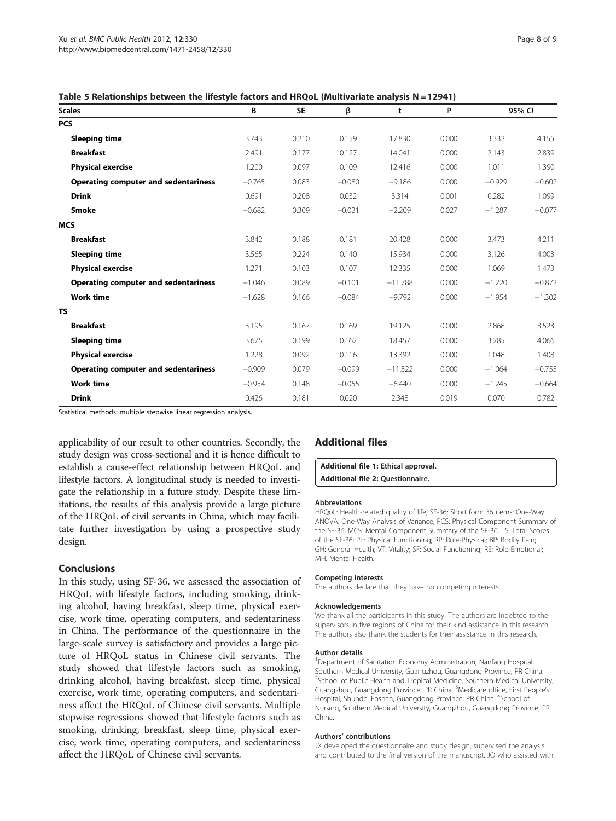<span id="page-7-0"></span>Table 5 Relationships between the lifestyle factors and HRQoL (Multivariate analysis N = 12941)

| <b>Scales</b>                               | B        | <b>SE</b> | β        | t         | P     | 95% CI   |          |
|---------------------------------------------|----------|-----------|----------|-----------|-------|----------|----------|
| <b>PCS</b>                                  |          |           |          |           |       |          |          |
| <b>Sleeping time</b>                        | 3.743    | 0.210     | 0.159    | 17.830    | 0.000 | 3.332    | 4.155    |
| <b>Breakfast</b>                            | 2.491    | 0.177     | 0.127    | 14.041    | 0.000 | 2.143    | 2.839    |
| <b>Physical exercise</b>                    | 1.200    | 0.097     | 0.109    | 12.416    | 0.000 | 1.011    | 1.390    |
| <b>Operating computer and sedentariness</b> | $-0.765$ | 0.083     | $-0.080$ | $-9.186$  | 0.000 | $-0.929$ | $-0.602$ |
| <b>Drink</b>                                | 0.691    | 0.208     | 0.032    | 3.314     | 0.001 | 0.282    | 1.099    |
| Smoke                                       | $-0.682$ | 0.309     | $-0.021$ | $-2.209$  | 0.027 | $-1.287$ | $-0.077$ |
| <b>MCS</b>                                  |          |           |          |           |       |          |          |
| <b>Breakfast</b>                            | 3.842    | 0.188     | 0.181    | 20.428    | 0.000 | 3.473    | 4.211    |
| <b>Sleeping time</b>                        | 3.565    | 0.224     | 0.140    | 15.934    | 0.000 | 3.126    | 4.003    |
| <b>Physical exercise</b>                    | 1.271    | 0.103     | 0.107    | 12.335    | 0.000 | 1.069    | 1.473    |
| <b>Operating computer and sedentariness</b> | $-1.046$ | 0.089     | $-0.101$ | $-11.788$ | 0.000 | $-1.220$ | $-0.872$ |
| <b>Work time</b>                            | $-1.628$ | 0.166     | $-0.084$ | $-9.792$  | 0.000 | $-1.954$ | $-1.302$ |
| <b>TS</b>                                   |          |           |          |           |       |          |          |
| <b>Breakfast</b>                            | 3.195    | 0.167     | 0.169    | 19.125    | 0.000 | 2.868    | 3.523    |
| <b>Sleeping time</b>                        | 3.675    | 0.199     | 0.162    | 18.457    | 0.000 | 3.285    | 4.066    |
| <b>Physical exercise</b>                    | 1.228    | 0.092     | 0.116    | 13.392    | 0.000 | 1.048    | 1.408    |
| <b>Operating computer and sedentariness</b> | $-0.909$ | 0.079     | $-0.099$ | $-11.522$ | 0.000 | $-1.064$ | $-0.755$ |
| <b>Work time</b>                            | $-0.954$ | 0.148     | $-0.055$ | $-6.440$  | 0.000 | $-1.245$ | $-0.664$ |
| <b>Drink</b>                                | 0.426    | 0.181     | 0.020    | 2.348     | 0.019 | 0.070    | 0.782    |

Statistical methods: multiple stepwise linear regression analysis.

applicability of our result to other countries. Secondly, the study design was cross-sectional and it is hence difficult to establish a cause-effect relationship between HRQoL and lifestyle factors. A longitudinal study is needed to investigate the relationship in a future study. Despite these limitations, the results of this analysis provide a large picture of the HRQoL of civil servants in China, which may facilitate further investigation by using a prospective study design.

#### Conclusions

In this study, using SF-36, we assessed the association of HRQoL with lifestyle factors, including smoking, drinking alcohol, having breakfast, sleep time, physical exercise, work time, operating computers, and sedentariness in China. The performance of the questionnaire in the large-scale survey is satisfactory and provides a large picture of HRQoL status in Chinese civil servants. The study showed that lifestyle factors such as smoking, drinking alcohol, having breakfast, sleep time, physical exercise, work time, operating computers, and sedentariness affect the HRQoL of Chinese civil servants. Multiple stepwise regressions showed that lifestyle factors such as smoking, drinking, breakfast, sleep time, physical exercise, work time, operating computers, and sedentariness affect the HRQoL of Chinese civil servants.

## Additional files

[Additional file 1](http://www.biomedcentral.com/content/supplementary/1471-2458-12-330-S1.doc): Ethical approval. [Additional file 2](http://www.biomedcentral.com/content/supplementary/1471-2458-12-330-S2.jpeg): Questionnaire.

#### Abbreviations

HRQoL: Health-related quality of life; SF-36: Short form 36 items; One-Way ANOVA: One-Way Analysis of Variance; PCS: Physical Component Summary of the SF-36; MCS: Mental Component Summary of the SF-36; TS: Total Scores of the SF-36; PF: Physical Functioning; RP: Role-Physical; BP: Bodily Pain; GH: General Health; VT: Vitality; SF: Social Functioning; RE: Role-Emotional; MH: Mental Health.

#### Competing interests

The authors declare that they have no competing interests.

#### Acknowledgements

We thank all the participants in this study. The authors are indebted to the supervisors in five regions of China for their kind assistance in this research. The authors also thank the students for their assistance in this research.

#### Author details

<sup>1</sup>Department of Sanitation Economy Administration, Nanfang Hospital Southern Medical University, Guangzhou, Guangdong Province, PR China. <sup>2</sup>School of Public Health and Tropical Medicine, Southern Medical University, Guangzhou, Guangdong Province, PR China. <sup>3</sup>Medicare office, First People's Hospital, Shunde, Foshan, Guangdong Province, PR China. <sup>4</sup>School of Nursing, Southern Medical University, Guangzhou, Guangdong Province, PR China.

#### Authors' contributions

JX developed the questionnaire and study design, supervised the analysis and contributed to the final version of the manuscript. JQ who assisted with